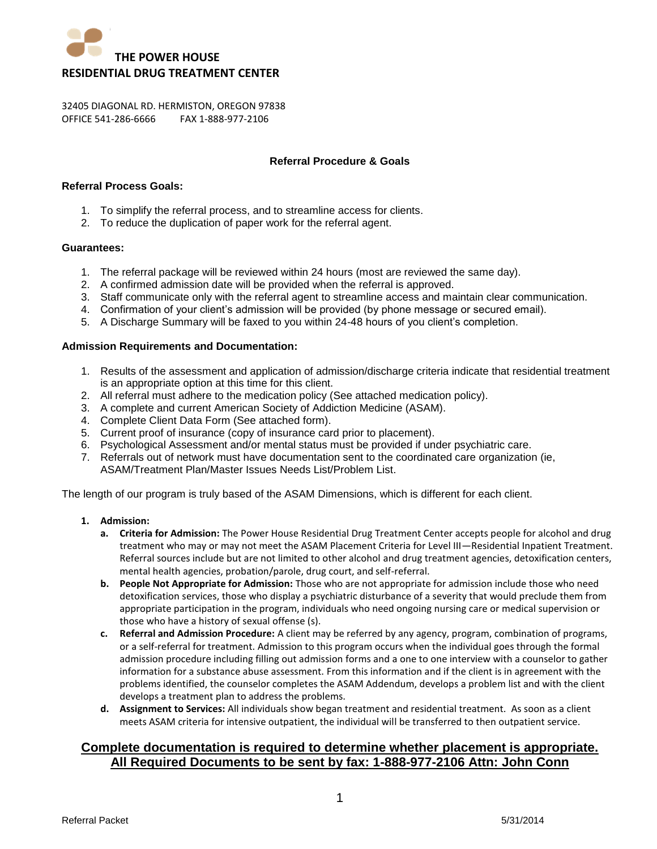

## **Referral Procedure & Goals**

## **Referral Process Goals:**

- 1. To simplify the referral process, and to streamline access for clients.
- 2. To reduce the duplication of paper work for the referral agent.

#### **Guarantees:**

- 1. The referral package will be reviewed within 24 hours (most are reviewed the same day).
- 2. A confirmed admission date will be provided when the referral is approved.
- 3. Staff communicate only with the referral agent to streamline access and maintain clear communication.
- 4. Confirmation of your client's admission will be provided (by phone message or secured email).
- 5. A Discharge Summary will be faxed to you within 24-48 hours of you client's completion.

### **Admission Requirements and Documentation:**

- 1. Results of the assessment and application of admission/discharge criteria indicate that residential treatment is an appropriate option at this time for this client.
- 2. All referral must adhere to the medication policy (See attached medication policy).
- 3. A complete and current American Society of Addiction Medicine (ASAM).
- 4. Complete Client Data Form (See attached form).
- 5. Current proof of insurance (copy of insurance card prior to placement).
- 6. Psychological Assessment and/or mental status must be provided if under psychiatric care.
- 7. Referrals out of network must have documentation sent to the coordinated care organization (ie, ASAM/Treatment Plan/Master Issues Needs List/Problem List.

The length of our program is truly based of the ASAM Dimensions, which is different for each client.

- **1. Admission:** 
	- **a. Criteria for Admission:** The Power House Residential Drug Treatment Center accepts people for alcohol and drug treatment who may or may not meet the ASAM Placement Criteria for Level III—Residential Inpatient Treatment. Referral sources include but are not limited to other alcohol and drug treatment agencies, detoxification centers, mental health agencies, probation/parole, drug court, and self-referral.
	- **b. People Not Appropriate for Admission:** Those who are not appropriate for admission include those who need detoxification services, those who display a psychiatric disturbance of a severity that would preclude them from appropriate participation in the program, individuals who need ongoing nursing care or medical supervision or those who have a history of sexual offense (s).
	- **c. Referral and Admission Procedure:** A client may be referred by any agency, program, combination of programs, or a self-referral for treatment. Admission to this program occurs when the individual goes through the formal admission procedure including filling out admission forms and a one to one interview with a counselor to gather information for a substance abuse assessment. From this information and if the client is in agreement with the problems identified, the counselor completes the ASAM Addendum, develops a problem list and with the client develops a treatment plan to address the problems.
	- **d. Assignment to Services:** All individuals show began treatment and residential treatment. As soon as a client meets ASAM criteria for intensive outpatient, the individual will be transferred to then outpatient service.

# **Complete documentation is required to determine whether placement is appropriate. All Required Documents to be sent by fax: 1-888-977-2106 Attn: John Conn**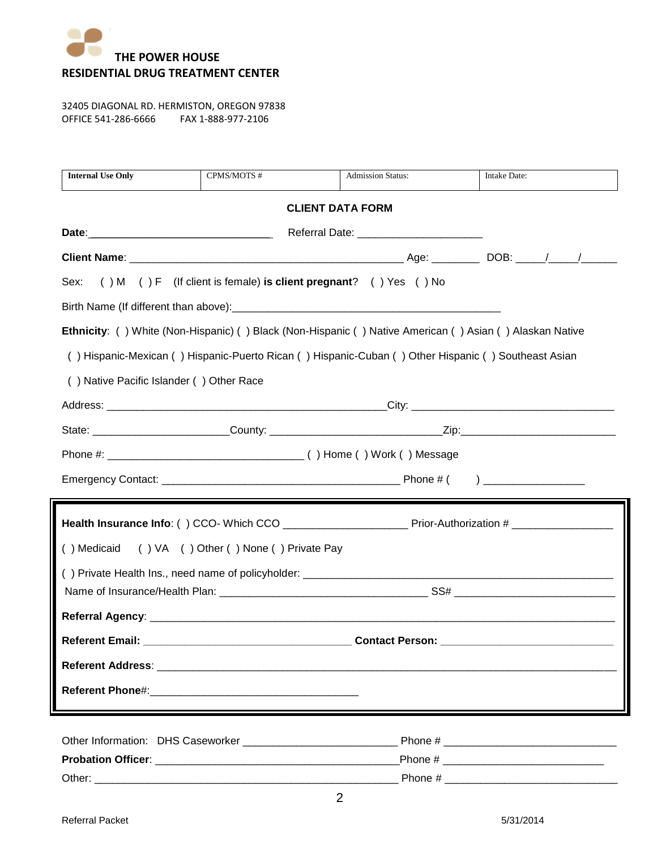

| <b>Internal Use Only</b>                                                                            | CPMS/MOTS #                                                                                                   | <b>Admission Status:</b>                                                                                | Intake Date: |  |
|-----------------------------------------------------------------------------------------------------|---------------------------------------------------------------------------------------------------------------|---------------------------------------------------------------------------------------------------------|--------------|--|
|                                                                                                     |                                                                                                               | <b>CLIENT DATA FORM</b>                                                                                 |              |  |
|                                                                                                     |                                                                                                               |                                                                                                         |              |  |
|                                                                                                     |                                                                                                               |                                                                                                         |              |  |
| Sex:                                                                                                |                                                                                                               | () M () F (If client is female) is client pregnant? () Yes () No                                        |              |  |
|                                                                                                     |                                                                                                               |                                                                                                         |              |  |
|                                                                                                     |                                                                                                               | Ethnicity: () White (Non-Hispanic) () Black (Non-Hispanic () Native American () Asian () Alaskan Native |              |  |
| () Hispanic-Mexican () Hispanic-Puerto Rican () Hispanic-Cuban () Other Hispanic () Southeast Asian |                                                                                                               |                                                                                                         |              |  |
| () Native Pacific Islander () Other Race                                                            |                                                                                                               |                                                                                                         |              |  |
|                                                                                                     |                                                                                                               |                                                                                                         |              |  |
|                                                                                                     |                                                                                                               |                                                                                                         |              |  |
|                                                                                                     |                                                                                                               |                                                                                                         |              |  |
|                                                                                                     |                                                                                                               |                                                                                                         |              |  |
|                                                                                                     |                                                                                                               |                                                                                                         |              |  |
|                                                                                                     |                                                                                                               |                                                                                                         |              |  |
| () Medicaid                                                                                         | () VA () Other () None () Private Pay                                                                         |                                                                                                         |              |  |
|                                                                                                     |                                                                                                               |                                                                                                         |              |  |
|                                                                                                     |                                                                                                               |                                                                                                         |              |  |
| <b>Referent Email:</b>                                                                              |                                                                                                               | <b>Contact Person:</b>                                                                                  |              |  |
|                                                                                                     |                                                                                                               |                                                                                                         |              |  |
|                                                                                                     |                                                                                                               |                                                                                                         |              |  |
| <b>Referent Phone#:</b>                                                                             | <u> 1980 - Jan Barbara, martxa al II-lea (h. 1980).</u><br>1900 - Johann Barbara, martxa al II-lea (h. 1900). |                                                                                                         |              |  |
|                                                                                                     |                                                                                                               |                                                                                                         |              |  |
|                                                                                                     |                                                                                                               |                                                                                                         |              |  |
|                                                                                                     |                                                                                                               |                                                                                                         |              |  |
|                                                                                                     |                                                                                                               | 2                                                                                                       |              |  |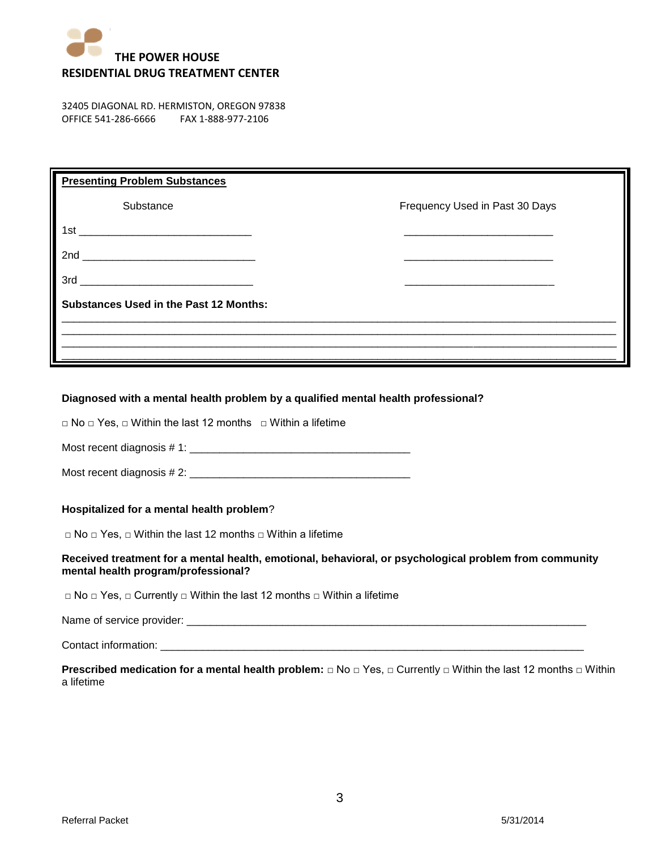

| <b>Presenting Problem Substances</b>                                                                                        |                                |  |  |  |
|-----------------------------------------------------------------------------------------------------------------------------|--------------------------------|--|--|--|
| Substance                                                                                                                   | Frequency Used in Past 30 Days |  |  |  |
| 1st<br><u> 1989 - Jan Barnett, mars et al. 1989 - Antonio Alemania et al. 1989 - Antonio Alemania et al. 1989 - Antonio</u> |                                |  |  |  |
| 2nd                                                                                                                         |                                |  |  |  |
| 3rd                                                                                                                         |                                |  |  |  |
| <b>Substances Used in the Past 12 Months:</b>                                                                               |                                |  |  |  |
|                                                                                                                             |                                |  |  |  |
|                                                                                                                             |                                |  |  |  |

# **Diagnosed with a mental health problem by a qualified mental health professional?**

□ No □ Yes, □ Within the last 12 months □ Within a lifetime

Most recent diagnosis # 1: \_\_\_\_\_\_\_\_\_\_\_\_\_\_\_\_\_\_\_\_\_\_\_\_\_\_\_\_\_\_\_\_\_\_\_\_\_

Most recent diagnosis # 2: \_\_\_\_\_\_\_\_\_\_\_\_\_\_\_\_\_\_\_\_\_\_\_\_\_\_\_\_\_\_\_\_\_\_\_\_\_

## **Hospitalized for a mental health problem**?

□ No □ Yes, □ Within the last 12 months □ Within a lifetime

## **Received treatment for a mental health, emotional, behavioral, or psychological problem from community mental health program/professional?**

□ No □ Yes, □ Currently □ Within the last 12 months □ Within a lifetime

Name of service provider:  $\blacksquare$ 

Contact information:

**Prescribed medication for a mental health problem:** □ No □ Yes, □ Currently □ Within the last 12 months □ Within a lifetime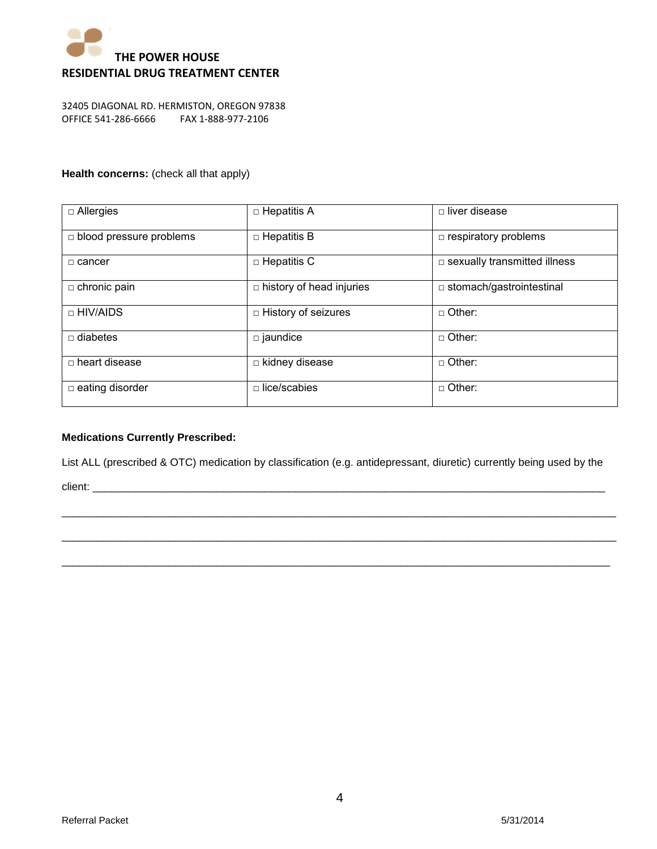

## **Health concerns:** (check all that apply)

| $\Box$ Allergies               | $\Box$ Hepatitis A              | $\Box$ liver disease                |
|--------------------------------|---------------------------------|-------------------------------------|
| $\Box$ blood pressure problems | $\Box$ Hepatitis B              | $\Box$ respiratory problems         |
| □ cancer                       | $\Box$ Hepatitis C              | $\Box$ sexually transmitted illness |
| $\Box$ chronic pain            | $\Box$ history of head injuries | $\Box$ stomach/gastrointestinal     |
| □ HIV/AIDS                     | $\Box$ History of seizures      | $\Box$ Other:                       |
| $\Box$ diabetes                | $\square$ jaundice              | $\Box$ Other:                       |
| $\Box$ heart disease           | $\Box$ kidney disease           | $\Box$ Other:                       |
| $\Box$ eating disorder         | $\Box$ lice/scabies             | $\Box$ Other:                       |

## **Medications Currently Prescribed:**

List ALL (prescribed & OTC) medication by classification (e.g. antidepressant, diuretic) currently being used by the

\_\_\_\_\_\_\_\_\_\_\_\_\_\_\_\_\_\_\_\_\_\_\_\_\_\_\_\_\_\_\_\_\_\_\_\_\_\_\_\_\_\_\_\_\_\_\_\_\_\_\_\_\_\_\_\_\_\_\_\_\_\_\_\_\_\_\_\_\_\_\_\_\_\_\_\_\_\_\_\_\_\_\_\_\_\_\_\_\_\_\_\_\_

\_\_\_\_\_\_\_\_\_\_\_\_\_\_\_\_\_\_\_\_\_\_\_\_\_\_\_\_\_\_\_\_\_\_\_\_\_\_\_\_\_\_\_\_\_\_\_\_\_\_\_\_\_\_\_\_\_\_\_\_\_\_\_\_\_\_\_\_\_\_\_\_\_\_\_\_\_\_\_\_\_\_\_\_\_\_\_\_\_\_\_\_\_

 $\_$  ,  $\_$  ,  $\_$  ,  $\_$  ,  $\_$  ,  $\_$  ,  $\_$  ,  $\_$  ,  $\_$  ,  $\_$  ,  $\_$  ,  $\_$  ,  $\_$  ,  $\_$  ,  $\_$  ,  $\_$  ,  $\_$  ,  $\_$  ,  $\_$  ,  $\_$  ,  $\_$  ,  $\_$  ,  $\_$  ,  $\_$  ,  $\_$  ,  $\_$  ,  $\_$  ,  $\_$  ,  $\_$  ,  $\_$  ,  $\_$  ,  $\_$  ,  $\_$  ,  $\_$  ,  $\_$  ,  $\_$  ,  $\_$  ,

client: \_\_\_\_\_\_\_\_\_\_\_\_\_\_\_\_\_\_\_\_\_\_\_\_\_\_\_\_\_\_\_\_\_\_\_\_\_\_\_\_\_\_\_\_\_\_\_\_\_\_\_\_\_\_\_\_\_\_\_\_\_\_\_\_\_\_\_\_\_\_\_\_\_\_\_\_\_\_\_\_\_\_\_\_\_\_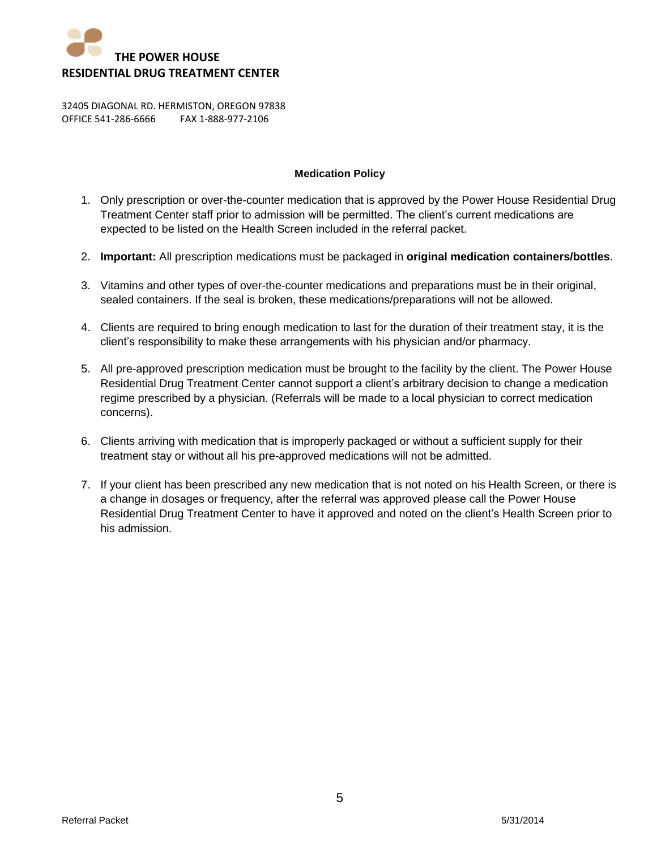

## **Medication Policy**

- 1. Only prescription or over-the-counter medication that is approved by the Power House Residential Drug Treatment Center staff prior to admission will be permitted. The client's current medications are expected to be listed on the Health Screen included in the referral packet.
- 2. **Important:** All prescription medications must be packaged in **original medication containers/bottles**.
- 3. Vitamins and other types of over-the-counter medications and preparations must be in their original, sealed containers. If the seal is broken, these medications/preparations will not be allowed.
- 4. Clients are required to bring enough medication to last for the duration of their treatment stay, it is the client's responsibility to make these arrangements with his physician and/or pharmacy.
- 5. All pre-approved prescription medication must be brought to the facility by the client. The Power House Residential Drug Treatment Center cannot support a client's arbitrary decision to change a medication regime prescribed by a physician. (Referrals will be made to a local physician to correct medication concerns).
- 6. Clients arriving with medication that is improperly packaged or without a sufficient supply for their treatment stay or without all his pre-approved medications will not be admitted.
- 7. If your client has been prescribed any new medication that is not noted on his Health Screen, or there is a change in dosages or frequency, after the referral was approved please call the Power House Residential Drug Treatment Center to have it approved and noted on the client's Health Screen prior to his admission.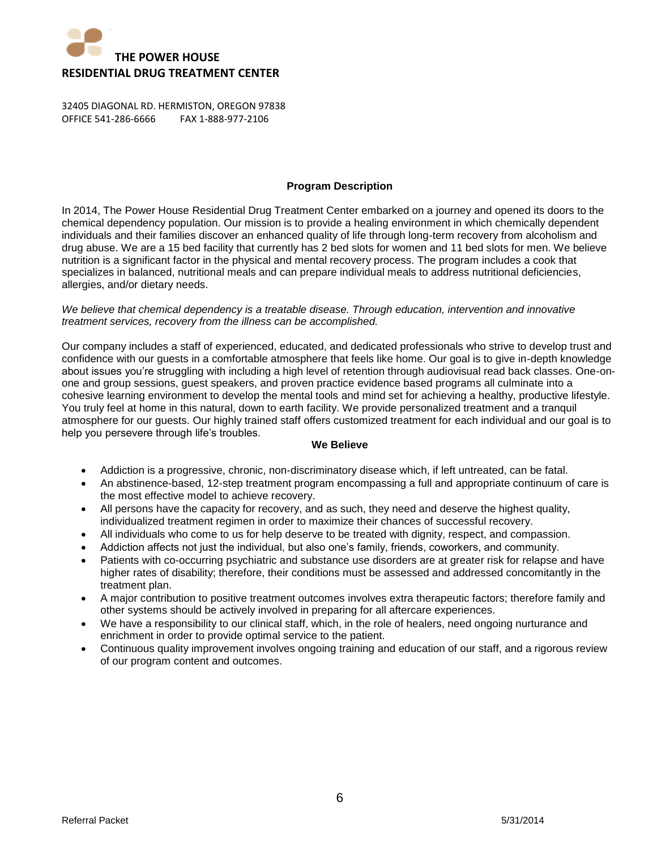

## **Program Description**

In 2014, The Power House Residential Drug Treatment Center embarked on a journey and opened its doors to the chemical dependency population. Our mission is to provide a healing environment in which chemically dependent individuals and their families discover an enhanced quality of life through long-term recovery from alcoholism and drug abuse. We are a 15 bed facility that currently has 2 bed slots for women and 11 bed slots for men. We believe nutrition is a significant factor in the physical and mental recovery process. The program includes a cook that specializes in balanced, nutritional meals and can prepare individual meals to address nutritional deficiencies, allergies, and/or dietary needs.

### *We believe that chemical dependency is a treatable disease. Through education, intervention and innovative treatment services, recovery from the illness can be accomplished.*

Our company includes a staff of experienced, educated, and dedicated professionals who strive to develop trust and confidence with our guests in a comfortable atmosphere that feels like home. Our goal is to give in-depth knowledge about issues you're struggling with including a high level of retention through audiovisual read back classes. One-onone and group sessions, guest speakers, and proven practice evidence based programs all culminate into a cohesive learning environment to develop the mental tools and mind set for achieving a healthy, productive lifestyle. You truly feel at home in this natural, down to earth facility. We provide personalized treatment and a tranquil atmosphere for our guests. Our highly trained staff offers customized treatment for each individual and our goal is to help you persevere through life's troubles.

## **We Believe**

- Addiction is a progressive, chronic, non-discriminatory disease which, if left untreated, can be fatal.
- An abstinence-based, 12-step treatment program encompassing a full and appropriate continuum of care is the most effective model to achieve recovery.
- All persons have the capacity for recovery, and as such, they need and deserve the highest quality, individualized treatment regimen in order to maximize their chances of successful recovery.
- All individuals who come to us for help deserve to be treated with dignity, respect, and compassion.
- Addiction affects not just the individual, but also one's family, friends, coworkers, and community.
- Patients with co-occurring psychiatric and substance use disorders are at greater risk for relapse and have higher rates of disability; therefore, their conditions must be assessed and addressed concomitantly in the treatment plan.
- A major contribution to positive treatment outcomes involves extra therapeutic factors; therefore family and other systems should be actively involved in preparing for all aftercare experiences.
- We have a responsibility to our clinical staff, which, in the role of healers, need ongoing nurturance and enrichment in order to provide optimal service to the patient.
- Continuous quality improvement involves ongoing training and education of our staff, and a rigorous review of our program content and outcomes.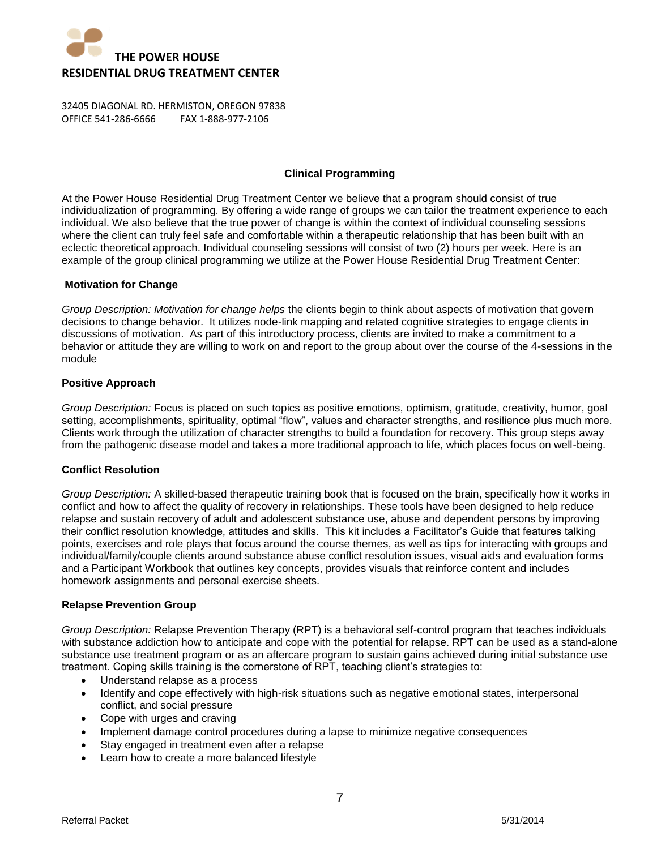

## **Clinical Programming**

At the Power House Residential Drug Treatment Center we believe that a program should consist of true individualization of programming. By offering a wide range of groups we can tailor the treatment experience to each individual. We also believe that the true power of change is within the context of individual counseling sessions where the client can truly feel safe and comfortable within a therapeutic relationship that has been built with an eclectic theoretical approach. Individual counseling sessions will consist of two (2) hours per week. Here is an example of the group clinical programming we utilize at the Power House Residential Drug Treatment Center:

### **Motivation for Change**

*Group Description: Motivation for change helps* the clients begin to think about aspects of motivation that govern decisions to change behavior. It utilizes node-link mapping and related cognitive strategies to engage clients in discussions of motivation. As part of this introductory process, clients are invited to make a commitment to a behavior or attitude they are willing to work on and report to the group about over the course of the 4-sessions in the module

## **Positive Approach**

*Group Description:* Focus is placed on such topics as positive emotions, optimism, gratitude, creativity, humor, goal setting, accomplishments, spirituality, optimal "flow", values and character strengths, and resilience plus much more. Clients work through the utilization of character strengths to build a foundation for recovery. This group steps away from the pathogenic disease model and takes a more traditional approach to life, which places focus on well-being.

#### **Conflict Resolution**

*Group Description:* A skilled-based therapeutic training book that is focused on the brain, specifically how it works in conflict and how to affect the quality of recovery in relationships. These tools have been designed to help reduce relapse and sustain recovery of adult and adolescent substance use, abuse and dependent persons by improving their conflict resolution knowledge, attitudes and skills. This kit includes a Facilitator's Guide that features talking points, exercises and role plays that focus around the course themes, as well as tips for interacting with groups and individual/family/couple clients around substance abuse conflict resolution issues, visual aids and evaluation forms and a Participant Workbook that outlines key concepts, provides visuals that reinforce content and includes homework assignments and personal exercise sheets.

## **Relapse Prevention Group**

*Group Description:* Relapse Prevention Therapy (RPT) is a behavioral self-control program that teaches individuals with substance addiction how to anticipate and cope with the potential for relapse. RPT can be used as a stand-alone substance use treatment program or as an aftercare program to sustain gains achieved during initial substance use treatment. Coping skills training is the cornerstone of RPT, teaching client's strategies to:

- Understand relapse as a process
- Identify and cope effectively with high-risk situations such as negative emotional states, interpersonal conflict, and social pressure
- Cope with urges and craving
- Implement damage control procedures during a lapse to minimize negative consequences
- Stay engaged in treatment even after a relapse
- Learn how to create a more balanced lifestyle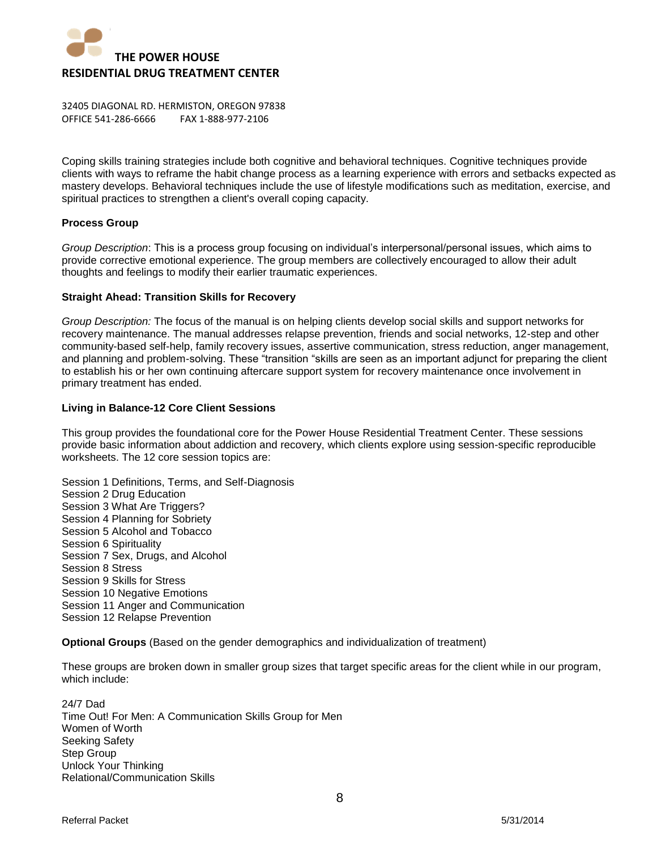

Coping skills training strategies include both cognitive and behavioral techniques. Cognitive techniques provide clients with ways to reframe the habit change process as a learning experience with errors and setbacks expected as mastery develops. Behavioral techniques include the use of lifestyle modifications such as meditation, exercise, and spiritual practices to strengthen a client's overall coping capacity.

### **Process Group**

*Group Description*: This is a process group focusing on individual's interpersonal/personal issues, which aims to provide corrective emotional experience. The group members are collectively encouraged to allow their adult thoughts and feelings to modify their earlier traumatic experiences.

### **Straight Ahead: Transition Skills for Recovery**

*Group Description:* The focus of the manual is on helping clients develop social skills and support networks for recovery maintenance. The manual addresses relapse prevention, friends and social networks, 12-step and other community-based self-help, family recovery issues, assertive communication, stress reduction, anger management, and planning and problem-solving. These "transition "skills are seen as an important adjunct for preparing the client to establish his or her own continuing aftercare support system for recovery maintenance once involvement in primary treatment has ended.

### **Living in Balance-12 Core Client Sessions**

This group provides the foundational core for the Power House Residential Treatment Center. These sessions provide basic information about addiction and recovery, which clients explore using session-specific reproducible worksheets. The 12 core session topics are:

Session 1 Definitions, Terms, and Self-Diagnosis Session 2 Drug Education Session 3 What Are Triggers? Session 4 Planning for Sobriety Session 5 Alcohol and Tobacco Session 6 Spirituality Session 7 Sex, Drugs, and Alcohol Session 8 Stress Session 9 Skills for Stress Session 10 Negative Emotions Session 11 Anger and Communication Session 12 Relapse Prevention

**Optional Groups** (Based on the gender demographics and individualization of treatment)

These groups are broken down in smaller group sizes that target specific areas for the client while in our program, which include:

24/7 Dad Time Out! For Men: A Communication Skills Group for Men Women of Worth Seeking Safety Step Group Unlock Your Thinking Relational/Communication Skills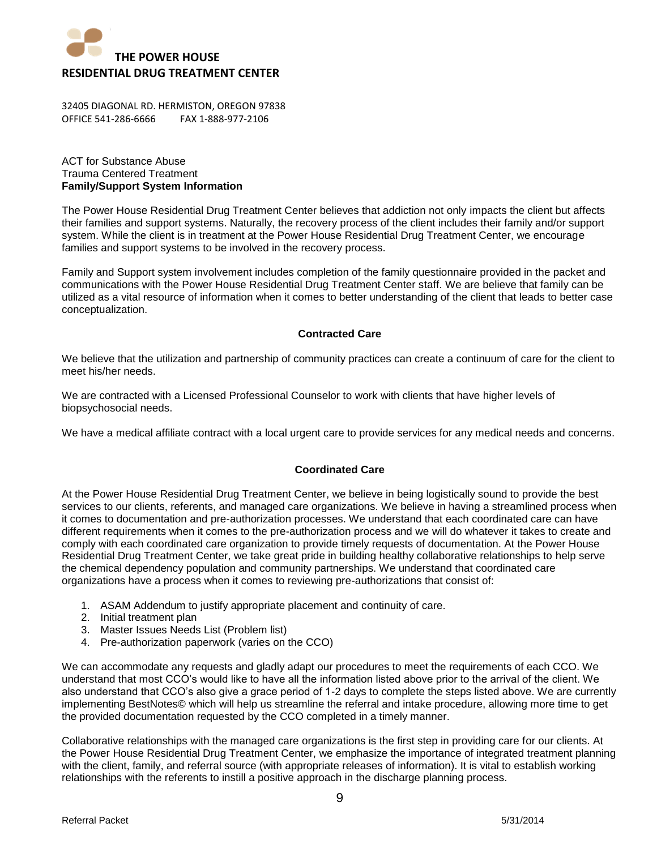

## ACT for Substance Abuse Trauma Centered Treatment **Family/Support System Information**

The Power House Residential Drug Treatment Center believes that addiction not only impacts the client but affects their families and support systems. Naturally, the recovery process of the client includes their family and/or support system. While the client is in treatment at the Power House Residential Drug Treatment Center, we encourage families and support systems to be involved in the recovery process.

Family and Support system involvement includes completion of the family questionnaire provided in the packet and communications with the Power House Residential Drug Treatment Center staff. We are believe that family can be utilized as a vital resource of information when it comes to better understanding of the client that leads to better case conceptualization.

## **Contracted Care**

We believe that the utilization and partnership of community practices can create a continuum of care for the client to meet his/her needs.

We are contracted with a Licensed Professional Counselor to work with clients that have higher levels of biopsychosocial needs.

We have a medical affiliate contract with a local urgent care to provide services for any medical needs and concerns.

## **Coordinated Care**

At the Power House Residential Drug Treatment Center, we believe in being logistically sound to provide the best services to our clients, referents, and managed care organizations. We believe in having a streamlined process when it comes to documentation and pre-authorization processes. We understand that each coordinated care can have different requirements when it comes to the pre-authorization process and we will do whatever it takes to create and comply with each coordinated care organization to provide timely requests of documentation. At the Power House Residential Drug Treatment Center, we take great pride in building healthy collaborative relationships to help serve the chemical dependency population and community partnerships. We understand that coordinated care organizations have a process when it comes to reviewing pre-authorizations that consist of:

- 1. ASAM Addendum to justify appropriate placement and continuity of care.
- 2. Initial treatment plan
- 3. Master Issues Needs List (Problem list)
- 4. Pre-authorization paperwork (varies on the CCO)

We can accommodate any requests and gladly adapt our procedures to meet the requirements of each CCO. We understand that most CCO's would like to have all the information listed above prior to the arrival of the client. We also understand that CCO's also give a grace period of 1-2 days to complete the steps listed above. We are currently implementing BestNotes© which will help us streamline the referral and intake procedure, allowing more time to get the provided documentation requested by the CCO completed in a timely manner.

Collaborative relationships with the managed care organizations is the first step in providing care for our clients. At the Power House Residential Drug Treatment Center, we emphasize the importance of integrated treatment planning with the client, family, and referral source (with appropriate releases of information). It is vital to establish working relationships with the referents to instill a positive approach in the discharge planning process.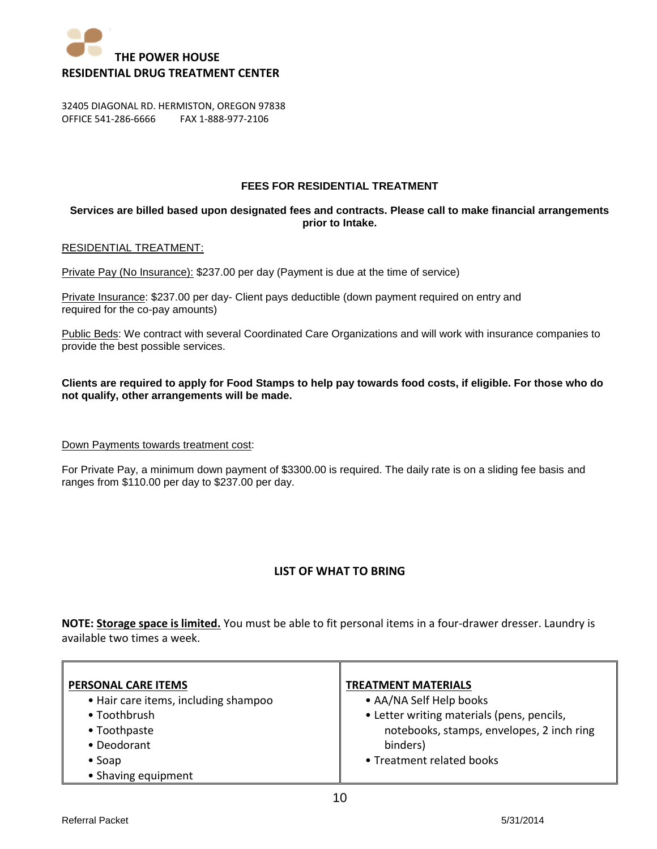

## **FEES FOR RESIDENTIAL TREATMENT**

## **Services are billed based upon designated fees and contracts. Please call to make financial arrangements prior to Intake.**

### RESIDENTIAL TREATMENT:

Private Pay (No Insurance): \$237.00 per day (Payment is due at the time of service)

Private Insurance: \$237.00 per day- Client pays deductible (down payment required on entry and required for the co-pay amounts)

Public Beds: We contract with several Coordinated Care Organizations and will work with insurance companies to provide the best possible services.

## **Clients are required to apply for Food Stamps to help pay towards food costs, if eligible. For those who do not qualify, other arrangements will be made.**

## Down Payments towards treatment cost:

For Private Pay, a minimum down payment of \$3300.00 is required. The daily rate is on a sliding fee basis and ranges from \$110.00 per day to \$237.00 per day.

## **LIST OF WHAT TO BRING**

**NOTE: Storage space is limited.** You must be able to fit personal items in a four-drawer dresser. Laundry is available two times a week.

| <b>PERSONAL CARE ITEMS</b>           | <b>TREATMENT MATERIALS</b>                 |
|--------------------------------------|--------------------------------------------|
| • Hair care items, including shampoo | • AA/NA Self Help books                    |
| • Toothbrush                         | • Letter writing materials (pens, pencils, |
| • Toothpaste                         | notebooks, stamps, envelopes, 2 inch ring  |
| • Deodorant                          | binders)                                   |
| $\bullet$ Soap                       | • Treatment related books                  |
| • Shaving equipment                  |                                            |